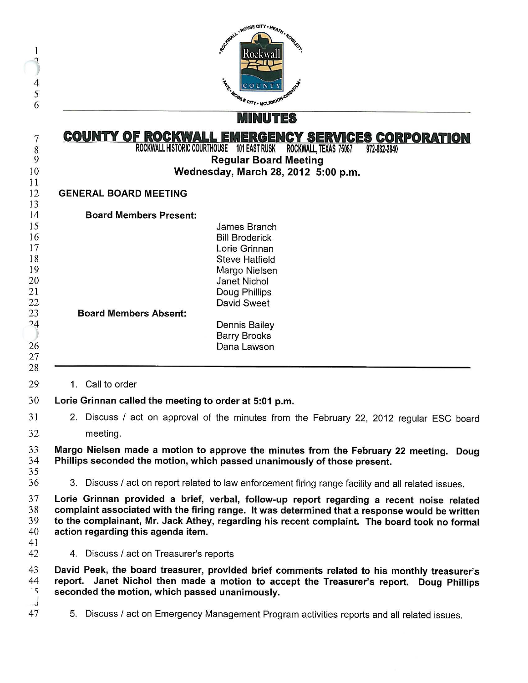| 1<br>p<br>4<br>5<br>6                                                      | Reference represe CITY . HEATH . Road<br>Rockwall<br><b>FR. MOBILE CITY . MCLENDON CNS</b>                                                                                                                                                                                                                                                                                                                                                                                          |                                                                                                                                                                                                                |  |
|----------------------------------------------------------------------------|-------------------------------------------------------------------------------------------------------------------------------------------------------------------------------------------------------------------------------------------------------------------------------------------------------------------------------------------------------------------------------------------------------------------------------------------------------------------------------------|----------------------------------------------------------------------------------------------------------------------------------------------------------------------------------------------------------------|--|
|                                                                            | <b>MINUTES</b><br><u>COUNTY OF ROCKWALL EMERGENCY SERVICES CORPORATION</u><br>ROCKWALL HISTORIC COURTHOUSE 101 EAST RUSK<br>ROCKWALL, TEXAS 75087<br>972-882-2840<br><b>Regular Board Meeting</b><br>Wednesday, March 28, 2012 5:00 p.m.<br><b>GENERAL BOARD MEETING</b>                                                                                                                                                                                                            |                                                                                                                                                                                                                |  |
| 7<br>$\boldsymbol{8}$<br>9<br>10                                           |                                                                                                                                                                                                                                                                                                                                                                                                                                                                                     |                                                                                                                                                                                                                |  |
| 11<br>12                                                                   |                                                                                                                                                                                                                                                                                                                                                                                                                                                                                     |                                                                                                                                                                                                                |  |
| 13<br>14                                                                   | <b>Board Members Present:</b>                                                                                                                                                                                                                                                                                                                                                                                                                                                       |                                                                                                                                                                                                                |  |
| 15<br>16<br>17<br>18<br>19<br>20<br>21<br>22<br>23<br>24<br>26<br>27<br>28 | <b>Board Members Absent:</b>                                                                                                                                                                                                                                                                                                                                                                                                                                                        | James Branch<br><b>Bill Broderick</b><br>Lorie Grinnan<br><b>Steve Hatfield</b><br>Margo Nielsen<br>Janet Nichol<br>Doug Phillips<br>David Sweet<br><b>Dennis Bailey</b><br><b>Barry Brooks</b><br>Dana Lawson |  |
| 29                                                                         | Call to order<br>$1_{-}$                                                                                                                                                                                                                                                                                                                                                                                                                                                            |                                                                                                                                                                                                                |  |
| 30                                                                         | Lorie Grinnan called the meeting to order at 5:01 p.m.                                                                                                                                                                                                                                                                                                                                                                                                                              |                                                                                                                                                                                                                |  |
| 31<br>32                                                                   | 2. Discuss / act on approval of the minutes from the February 22, 2012 regular ESC board<br>meeting.                                                                                                                                                                                                                                                                                                                                                                                |                                                                                                                                                                                                                |  |
| 33<br>34<br>35<br>36                                                       |                                                                                                                                                                                                                                                                                                                                                                                                                                                                                     | Margo Nielsen made a motion to approve the minutes from the February 22 meeting. Doug<br>Phillips seconded the motion, which passed unanimously of those present.                                              |  |
| 37<br>38<br>39<br>40<br>41<br>42                                           | 3. Discuss / act on report related to law enforcement firing range facility and all related issues.<br>Lorie Grinnan provided a brief, verbal, follow-up report regarding a recent noise related<br>complaint associated with the firing range. It was determined that a response would be written<br>to the complainant, Mr. Jack Athey, regarding his recent complaint. The board took no formal<br>action regarding this agenda item.<br>4. Discuss / act on Treasurer's reports |                                                                                                                                                                                                                |  |
| 43<br>44<br>$\cdot$ 5                                                      | seconded the motion, which passed unanimously                                                                                                                                                                                                                                                                                                                                                                                                                                       | David Peek, the board treasurer, provided brief comments related to his monthly treasurer's<br>report. Janet Nichol then made a motion to accept the Treasurer's report. Doug Phillips                         |  |

5. Discuss / act on Emergency Management Program activities reports and all related issues.

seconded the motion, which passed unanimously.